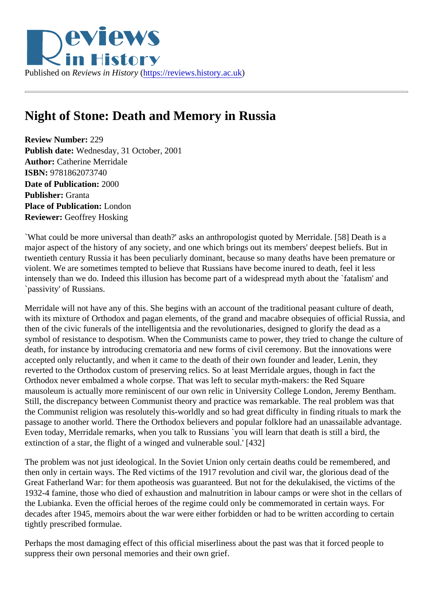## Night of Stone: Death and Memory in Russia

Review Number: 229 Publish date: Wednesday, 31 October, 2001 Author: Catherine Merridale ISBN: 9781862073740 Date of Publication: 2000 Publisher: Granta Place of Publication: London Reviewer: Geoffrey Hosking

`What could be more universal than death?' asks an anthropologist quoted by Merridale. [58] Death is a major aspect of the history of any society, and one which brings out its members' deepest beliefs. But in twentieth century Russia it has been peculiarly dominant, because so many deaths have been premature violent. We are sometimes tempted to believe that Russians have become inured to death, feel it less intensely than we do. Indeed this illusion has become part of a widespread myth about the `fatalism' and `passivity' of Russians.

Merridale will not have any of this. She begins with an account of the traditional peasant culture of death, with its mixture of Orthodox and pagan elements, of the grand and macabre obsequies of official Russia, and then of the civic funerals of the intelligentsia and the revolutionaries, designed to glorify the dead as a symbol of resistance to despotism. When the Communists came to power, they tried to change the culture death, for instance by introducing crematoria and new forms of civil ceremony. But the innovations were accepted only reluctantly, and when it came to the death of their own founder and leader, Lenin, they reverted to the Orthodox custom of preserving relics. So at least Merridale argues, though in fact the Orthodox never embalmed a whole corpse. That was left to secular myth-makers: the Red Square mausoleum is actually more reminiscent of our own relic in University College London, Jeremy Bentham. Still, the discrepancy between Communist theory and practice was remarkable. The real problem was that the Communist religion was resolutely this-worldly and so had great difficulty in finding rituals to mark the passage to another world. There the Orthodox believers and popular folklore had an unassailable advanta Even today, Merridale remarks, when you talk to Russians `you will learn that death is still a bird, the extinction of a star, the flight of a winged and vulnerable soul.' [432]

The problem was not just ideological. In the Soviet Union only certain deaths could be remembered, and then only in certain ways. The Red victims of the 1917 revolution and civil war, the glorious dead of the Great Fatherland War: for them apotheosis was guaranteed. But not for the dekulakised, the victims of the 1932-4 famine, those who died of exhaustion and malnutrition in labour camps or were shot in the cellars of the Lubianka. Even the official heroes of the regime could only be commemorated in certain ways. For decades after 1945, memoirs about the war were either forbidden or had to be written according to certain tightly prescribed formulae.

Perhaps the most damaging effect of this official miserliness about the past was that it forced people to suppress their own personal memories and their own grief.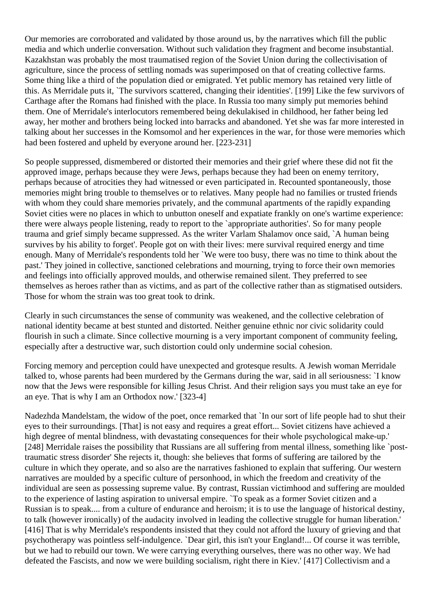Our memories are corroborated and validated by those around us, by the narratives which fill the public media and which underlie conversation. Without such validation they fragment and become insubstantial. Kazakhstan was probably the most traumatised region of the Soviet Union during the collectivisation of agriculture, since the process of settling nomads was superimposed on that of creating collective farms. Some thing like a third of the population died or emigrated. Yet public memory has retained very little of this. As Merridale puts it, `The survivors scattered, changing their identities'. [199] Like the few survivors of Carthage after the Romans had finished with the place. In Russia too many simply put memories behind them. One of Merridale's interlocutors remembered being dekulakised in childhood, her father being led away, her mother and brothers being locked into barracks and abandoned. Yet she was far more interested in talking about her successes in the Komsomol and her experiences in the war, for those were memories which had been fostered and upheld by everyone around her. [223-231]

So people suppressed, dismembered or distorted their memories and their grief where these did not fit the approved image, perhaps because they were Jews, perhaps because they had been on enemy territory, perhaps because of atrocities they had witnessed or even participated in. Recounted spontaneously, those memories might bring trouble to themselves or to relatives. Many people had no families or trusted friends with whom they could share memories privately, and the communal apartments of the rapidly expanding Soviet cities were no places in which to unbutton oneself and expatiate frankly on one's wartime experience: there were always people listening, ready to report to the `appropriate authorities'. So for many people trauma and grief simply became suppressed. As the writer Varlam Shalamov once said, `A human being survives by his ability to forget'. People got on with their lives: mere survival required energy and time enough. Many of Merridale's respondents told her `We were too busy, there was no time to think about the past.' They joined in collective, sanctioned celebrations and mourning, trying to force their own memories and feelings into officially approved moulds, and otherwise remained silent. They preferred to see themselves as heroes rather than as victims, and as part of the collective rather than as stigmatised outsiders. Those for whom the strain was too great took to drink.

Clearly in such circumstances the sense of community was weakened, and the collective celebration of national identity became at best stunted and distorted. Neither genuine ethnic nor civic solidarity could flourish in such a climate. Since collective mourning is a very important component of community feeling, especially after a destructive war, such distortion could only undermine social cohesion.

Forcing memory and perception could have unexpected and grotesque results. A Jewish woman Merridale talked to, whose parents had been murdered by the Germans during the war, said in all seriousness: `I know now that the Jews were responsible for killing Jesus Christ. And their religion says you must take an eye for an eye. That is why I am an Orthodox now.' [323-4]

Nadezhda Mandelstam, the widow of the poet, once remarked that `In our sort of life people had to shut their eyes to their surroundings. [That] is not easy and requires a great effort... Soviet citizens have achieved a high degree of mental blindness, with devastating consequences for their whole psychological make-up.' [248] Merridale raises the possibility that Russians are all suffering from mental illness, something like `posttraumatic stress disorder' She rejects it, though: she believes that forms of suffering are tailored by the culture in which they operate, and so also are the narratives fashioned to explain that suffering. Our western narratives are moulded by a specific culture of personhood, in which the freedom and creativity of the individual are seen as possessing supreme value. By contrast, Russian victimhood and suffering are moulded to the experience of lasting aspiration to universal empire. `To speak as a former Soviet citizen and a Russian is to speak.... from a culture of endurance and heroism; it is to use the language of historical destiny, to talk (however ironically) of the audacity involved in leading the collective struggle for human liberation.' [416] That is why Merridale's respondents insisted that they could not afford the luxury of grieving and that psychotherapy was pointless self-indulgence. `Dear girl, this isn't your England!... Of course it was terrible, but we had to rebuild our town. We were carrying everything ourselves, there was no other way. We had defeated the Fascists, and now we were building socialism, right there in Kiev.' [417] Collectivism and a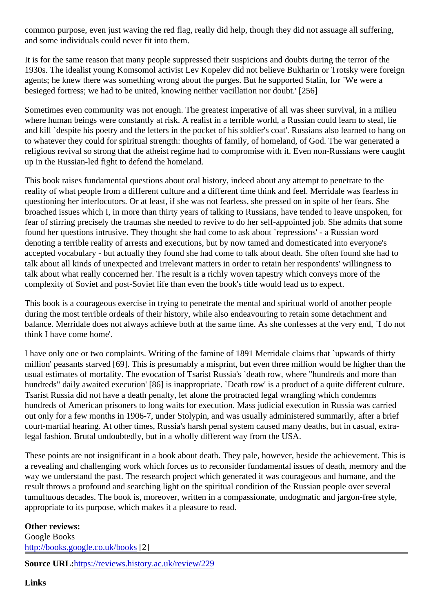common purpose, even just waving the red flag, really did help, though they did not assuage all suffering, and some individuals could never fit into them.

It is for the same reason that many people suppressed their suspicions and doubts during the terror of the 1930s. The idealist young Komsomol activist Lev Kopelev did not believe Bukharin or Trotsky were foreign agents; he knew there was something wrong about the purges. But he supported Stalin, for `We were a besieged fortress; we had to be united, knowing neither vacillation nor doubt.' [256]

Sometimes even community was not enough. The greatest imperative of all was sheer survival, in a milieu where human beings were constantly at risk. A realist in a terrible world, a Russian could learn to steal, lie and kill `despite his poetry and the letters in the pocket of his soldier's coat'. Russians also learned to hang to whatever they could for spiritual strength: thoughts of family, of homeland, of God. The war generated a religious revival so strong that the atheist regime had to compromise with it. Even non-Russians were caught up in the Russian-led fight to defend the homeland.

This book raises fundamental questions about oral history, indeed about any attempt to penetrate to the reality of what people from a different culture and a different time think and feel. Merridale was fearless in questioning her interlocutors. Or at least, if she was not fearless, she pressed on in spite of her fears. She broached issues which I, in more than thirty years of talking to Russians, have tended to leave unspoken, fear of stirring precisely the traumas she needed to revive to do her self-appointed job. She admits that so found her questions intrusive. They thought she had come to ask about `repressions' - a Russian word denoting a terrible reality of arrests and executions, but by now tamed and domesticated into everyone's accepted vocabulary - but actually they found she had come to talk about death. She often found she had talk about all kinds of unexpected and irrelevant matters in order to retain her respondents' willingness to talk about what really concerned her. The result is a richly woven tapestry which conveys more of the complexity of Soviet and post-Soviet life than even the book's title would lead us to expect.

This book is a courageous exercise in trying to penetrate the mental and spiritual world of another people during the most terrible ordeals of their history, while also endeavouring to retain some detachment and balance. Merridale does not always achieve both at the same time. As she confesses at the very end, 'I do think I have come home'.

I have only one or two complaints. Writing of the famine of 1891 Merridale claims that `upwards of thirty million' peasants starved [69]. This is presumably a misprint, but even three million would be higher than the usual estimates of mortality. The evocation of Tsarist Russia's `death row, where "hundreds and more than hundreds" daily awaited execution' [86] is inappropriate. `Death row' is a product of a quite different culture Tsarist Russia did not have a death penalty, let alone the protracted legal wrangling which condemns hundreds of American prisoners to long waits for execution. Mass judicial execution in Russia was carried out only for a few months in 1906-7, under Stolypin, and was usually administered summarily, after a brief court-martial hearing. At other times, Russia's harsh penal system caused many deaths, but in casual, ext legal fashion. Brutal undoubtedly, but in a wholly different way from the USA.

These points are not insignificant in a book about death. They pale, however, beside the achievement. The a revealing and challenging work which forces us to reconsider fundamental issues of death, memory and way we understand the past. The research project which generated it was courageous and humane, and t result throws a profound and searching light on the spiritual condition of the Russian people over several tumultuous decades. The book is, moreover, written in a compassionate, undogmatic and jargon-free style appropriate to its purpose, which makes it a pleasure to read.

Other reviews: Google Books [http://books.google.co.uk/boo](http://books.google.co.uk/books?id=m6TWAAAAMAAJ&sitesec=reviews)k8]

Source URL[:https://reviews.history.ac.uk/review/2](https://reviews.history.ac.uk/review/229)29